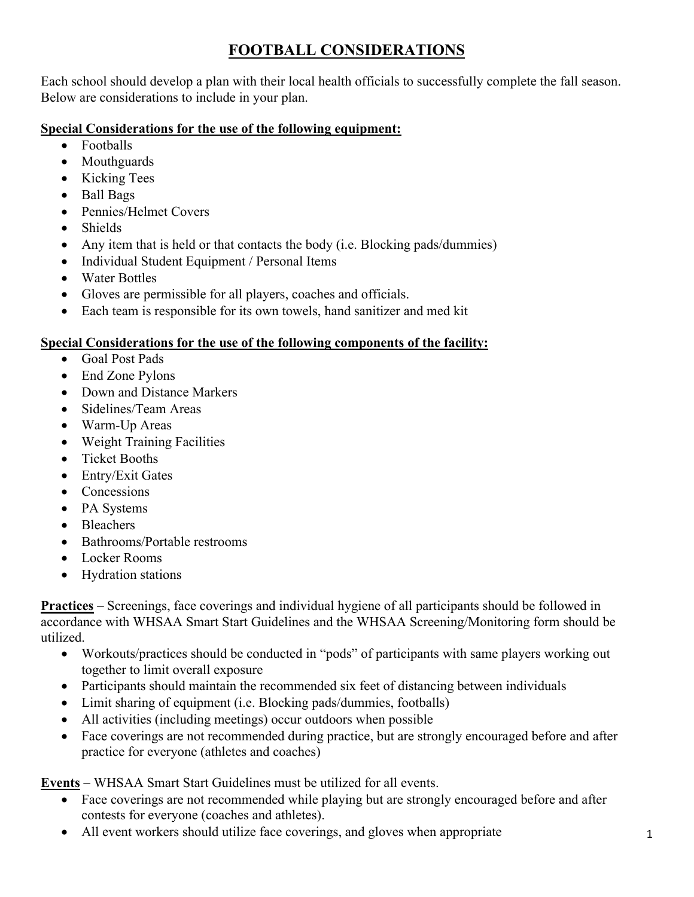# **FOOTBALL CONSIDERATIONS**

Each school should develop a plan with their local health officials to successfully complete the fall season. Below are considerations to include in your plan.

## **Special Considerations for the use of the following equipment:**

- Footballs
- Mouthguards
- Kicking Tees
- Ball Bags
- Pennies/Helmet Covers
- Shields
- Any item that is held or that contacts the body (i.e. Blocking pads/dummies)
- Individual Student Equipment / Personal Items
- Water Bottles
- Gloves are permissible for all players, coaches and officials.
- Each team is responsible for its own towels, hand sanitizer and med kit

### **Special Considerations for the use of the following components of the facility:**

- Goal Post Pads
- End Zone Pylons
- Down and Distance Markers
- Sidelines/Team Areas
- Warm-Up Areas
- Weight Training Facilities
- Ticket Booths
- Entry/Exit Gates
- Concessions
- PA Systems
- Bleachers
- Bathrooms/Portable restrooms
- Locker Rooms
- Hydration stations

**Practices** – Screenings, face coverings and individual hygiene of all participants should be followed in accordance with WHSAA Smart Start Guidelines and the WHSAA Screening/Monitoring form should be utilized.

- Workouts/practices should be conducted in "pods" of participants with same players working out together to limit overall exposure
- Participants should maintain the recommended six feet of distancing between individuals
- Limit sharing of equipment (i.e. Blocking pads/dummies, footballs)
- All activities (including meetings) occur outdoors when possible
- Face coverings are not recommended during practice, but are strongly encouraged before and after practice for everyone (athletes and coaches)

**Events** – WHSAA Smart Start Guidelines must be utilized for all events.

- Face coverings are not recommended while playing but are strongly encouraged before and after contests for everyone (coaches and athletes).
- All event workers should utilize face coverings, and gloves when appropriate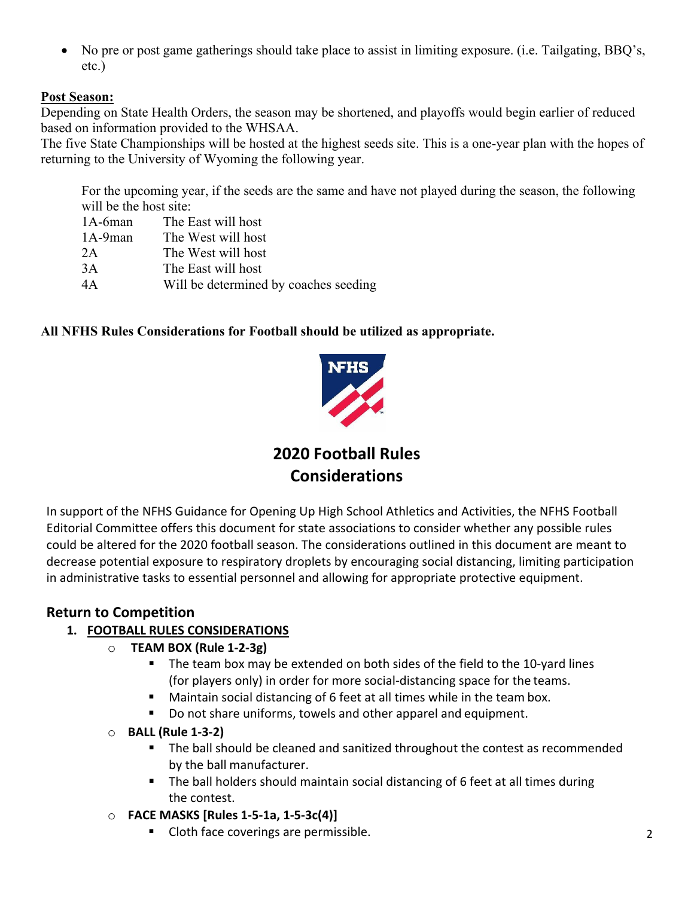• No pre or post game gatherings should take place to assist in limiting exposure. (i.e. Tailgating, BBQ's, etc.)

#### **Post Season:**

Depending on State Health Orders, the season may be shortened, and playoffs would begin earlier of reduced based on information provided to the WHSAA.

The five State Championships will be hosted at the highest seeds site. This is a one-year plan with the hopes of returning to the University of Wyoming the following year.

For the upcoming year, if the seeds are the same and have not played during the season, the following will be the host site:

| $1A-6man$  | The East will host                    |
|------------|---------------------------------------|
| $1A-9$ man | The West will host                    |
| 2Α         | The West will host                    |
| 3Α         | The East will host                    |
| 4Α         | Will be determined by coaches seeding |

#### **All NFHS Rules Considerations for Football should be utilized as appropriate.**



**2020 Football Rules Considerations**

In support of the NFHS Guidance for Opening Up High School Athletics and Activities, the NFHS Football Editorial Committee offers this document for state associations to consider whether any possible rules could be altered for the 2020 football season. The considerations outlined in this document are meant to decrease potential exposure to respiratory droplets by encouraging social distancing, limiting participation in administrative tasks to essential personnel and allowing for appropriate protective equipment.

### **Return to Competition**

#### **1. FOOTBALL RULES CONSIDERATIONS**

- o **TEAM BOX (Rule 1-2-3g)**
	- The team box may be extended on both sides of the field to the 10-yard lines (for players only) in order for more social-distancing space for the teams.
	- **Maintain social distancing of 6 feet at all times while in the team box.**
	- Do not share uniforms, towels and other apparel and equipment.
- o **BALL (Rule 1-3-2)**
	- The ball should be cleaned and sanitized throughout the contest as recommended by the ball manufacturer.
	- The ball holders should maintain social distancing of 6 feet at all times during the contest.
- o **FACE MASKS [Rules 1-5-1a, 1-5-3c(4)]**
	- Cloth face coverings are permissible.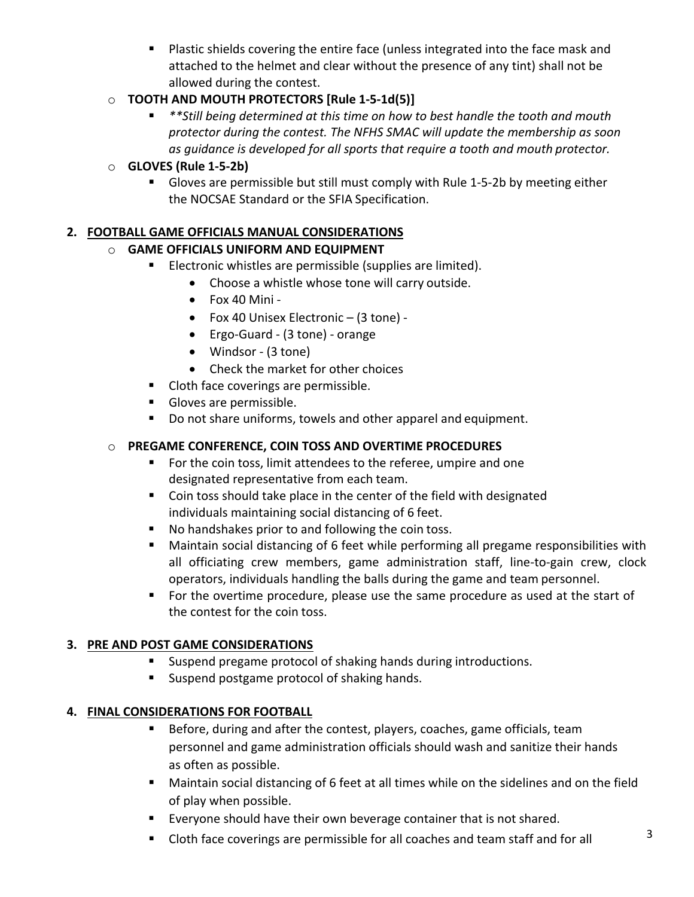**Plastic shields covering the entire face (unless integrated into the face mask and** attached to the helmet and clear without the presence of any tint) shall not be allowed during the contest.

## o **TOOTH AND MOUTH PROTECTORS [Rule 1-5-1d(5)]**

 *\*\*Still being determined at this time on how to best handle the tooth and mouth protector during the contest. The NFHS SMAC will update the membership as soon as guidance is developed for all sports that require a tooth and mouth protector.*

### o **GLOVES (Rule 1-5-2b)**

 Gloves are permissible but still must comply with Rule 1-5-2b by meeting either the NOCSAE Standard or the SFIA Specification.

# **2. FOOTBALL GAME OFFICIALS MANUAL CONSIDERATIONS**

# o **GAME OFFICIALS UNIFORM AND EQUIPMENT**

- **Electronic whistles are permissible (supplies are limited).** 
	- Choose a whistle whose tone will carry outside.
	- Fox 40 Mini -
	- Fox 40 Unisex Electronic (3 tone) -
	- Ergo-Guard (3 tone) orange
	- Windsor (3 tone)
	- Check the market for other choices
- **Cloth face coverings are permissible.**
- Gloves are permissible.
- Do not share uniforms, towels and other apparel and equipment.

# o **PREGAME CONFERENCE, COIN TOSS AND OVERTIME PROCEDURES**

- **For the coin toss, limit attendees to the referee, umpire and one** designated representative from each team.
- Coin toss should take place in the center of the field with designated individuals maintaining social distancing of 6 feet.
- No handshakes prior to and following the coin toss.
- Maintain social distancing of 6 feet while performing all pregame responsibilities with all officiating crew members, game administration staff, line-to-gain crew, clock operators, individuals handling the balls during the game and team personnel.
- **For the overtime procedure, please use the same procedure as used at the start of** the contest for the coin toss.

# **3. PRE AND POST GAME CONSIDERATIONS**

- Suspend pregame protocol of shaking hands during introductions.
- **Suspend postgame protocol of shaking hands.**

### **4. FINAL CONSIDERATIONS FOR FOOTBALL**

- **Before, during and after the contest, players, coaches, game officials, team** personnel and game administration officials should wash and sanitize their hands as often as possible.
- Maintain social distancing of 6 feet at all times while on the sidelines and on the field of play when possible.
- **Exeryone should have their own beverage container that is not shared.**
- Cloth face coverings are permissible for all coaches and team staff and for all